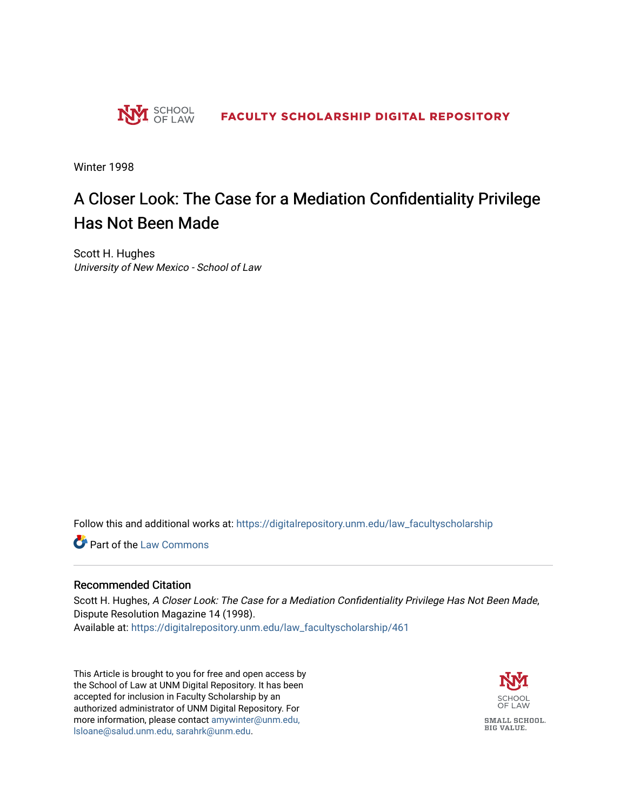

Winter 1998

# A Closer Look: The Case for a Mediation Confidentiality Privilege Has Not Been Made

Scott H. Hughes University of New Mexico - School of Law

Follow this and additional works at: [https://digitalrepository.unm.edu/law\\_facultyscholarship](https://digitalrepository.unm.edu/law_facultyscholarship?utm_source=digitalrepository.unm.edu%2Flaw_facultyscholarship%2F461&utm_medium=PDF&utm_campaign=PDFCoverPages) 

**Part of the [Law Commons](http://network.bepress.com/hgg/discipline/578?utm_source=digitalrepository.unm.edu%2Flaw_facultyscholarship%2F461&utm_medium=PDF&utm_campaign=PDFCoverPages)** 

## Recommended Citation

Scott H. Hughes, A Closer Look: The Case for a Mediation Confidentiality Privilege Has Not Been Made, Dispute Resolution Magazine 14 (1998). Available at: [https://digitalrepository.unm.edu/law\\_facultyscholarship/461](https://digitalrepository.unm.edu/law_facultyscholarship/461?utm_source=digitalrepository.unm.edu%2Flaw_facultyscholarship%2F461&utm_medium=PDF&utm_campaign=PDFCoverPages) 

This Article is brought to you for free and open access by the School of Law at UNM Digital Repository. It has been accepted for inclusion in Faculty Scholarship by an authorized administrator of UNM Digital Repository. For more information, please contact [amywinter@unm.edu,](mailto:amywinter@unm.edu,%20lsloane@salud.unm.edu,%20sarahrk@unm.edu)  [lsloane@salud.unm.edu, sarahrk@unm.edu.](mailto:amywinter@unm.edu,%20lsloane@salud.unm.edu,%20sarahrk@unm.edu)

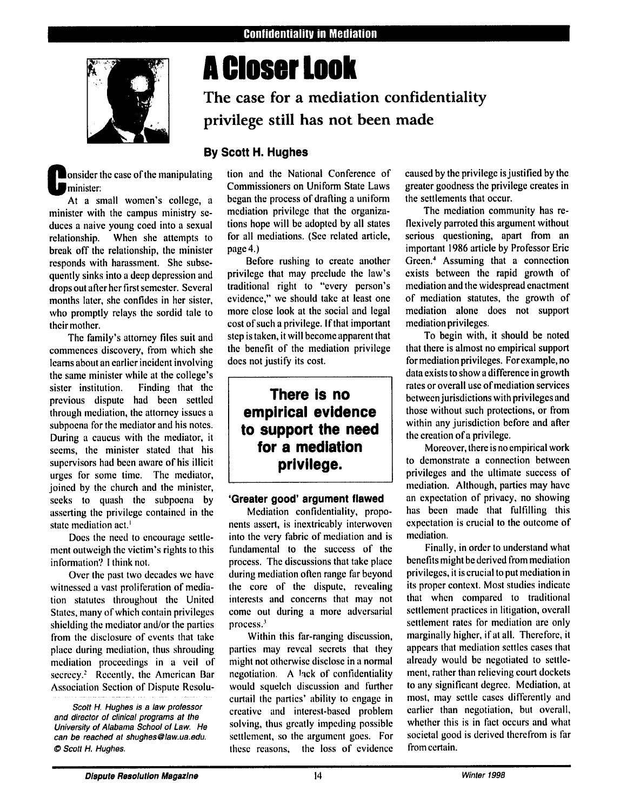

# **A Closer Look**

# **The case for a mediation confidentiality privilege still has not been made**

## **By Scott H. Hughes**

**Nonsider the case of the manipulating** minister:<br>At a small women's college, a

minister with the campus ministry seduces a naive young coed into a sexual relationship. When she attempts to break off the relationship, the minister responds with harassment. She subsequently sinks into a deep depression and drops out after her first semester. Several months later, she confides in her sister, who promptly relays the sordid tale to their mother.

The family's attorney files suit and commences discovery, from which she learns about an earlier incident involving the same minister while at the college's sister institution. Finding that the previous dispute had been settled through mediation, the attorney issues a subpoena for the mediator and his notes. During a caucus with the mediator, it seems, the minister stated that his supervisors had been aware of his illicit urges for some time. The mediator, joined by the church and the minister, seeks to quash the subpoena by asserting the privilege contained in the state mediation act.'

Does the need to encourage settlement outweigh the victim's rights to this information'? I think not.

Over the past two decades we have witnessed a vast proliferation of mediation statutes throughout the United States, many of which contain privileges shielding the mediator and/or the parties from the disclosure of events that take place during mediation, thus shrouding mediation proceedings in a veil of secrecy.<sup>2</sup> Recently, the American Bar Association Section of Dispute Resolution and the National Conference of Commissioners on Uniform State Laws began the process of drafting a uniform mediation privilege that the organizations hope will be adopted by all states for all mediations. (See related article, page 4.)

Before rushing to create another privilege that may preclude the law's traditional right to "every person's evidence," we should take at least one more close look at the social and legal cost of such a privilege. **If** that important step is taken, it will become apparent that the benefit of the mediation privilege does not justify its cost.

## **There is no empirical evidence to support the need for a mediation privilege.**

### **'Greater good' argument flawed**

Mediation confidentiality, proponents assert, is inextricably interwoven into the very fabric of mediation and is fundamental to the success of the process. The discussions that take place during mediation often range far beyond the core of the dispute, revealing interests and concerns that may not come out during a more adversarial process.'

Within this far-ranging discussion, parties may reveal secrets that they might not otherwise disclose in a normal negotiation. A lick of confidentiality would squelch discussion and firther curtail the parties' ability to engage in creative and interest-based problem solving, thus greatly impeding possible settlement, so the argument goes. For these reasons, the loss of evidence

caused by the privilege is justified by the greater goodness the privilege creates in the settlements that occur.

The mediation community has reflexively parroted this argument without serious questioning, apart from an important 1986 article by Professor Eric Green.' Assuming that a connection exists between the rapid growth of mediation and the widespread enactment of mediation statutes, the growth of mediation alone does not support mediation privileges.

To begin with, it should be noted that there is almost no empirical support for mediation privileges. Forexample, no data exists to show a difference in growth rates or overall use of mediation services between jurisdictions with privileges and those without such protections, or from within any jurisdiction before and after the creation of a privilege.

Moreover, there is no empirical work to demonstrate a connection between privileges and the ultimate success of mediation. Although, parties may have an expectation of privacy, no showing has been made that fulfilling this expectation is crucial to the outcome of mediation.

Finally, in order to understand what benefits might be derived from mediation privileges, it is crucial to put mediation in its proper context. Most studies indicate that when compared to traditional settlement practices in litigation, overall settlement rates for mediation are only marginally higher, if at all. Therefore, it appears that mediation settles cases that already would be negotiated to settlement, rather than relieving court dockets to any significant degree. Mediation, at most, may settle cases differently and earlier than negotiation, but overall, whether this is in fact occurs and what societal good is derived therefrom is far from certain.

Scott H. Hughes is a law professor and director of clinical programs at **the** University of Alabama School of **Law.** He can be reached at shughes@law.ua.edu. *0* Scott H. Hughes.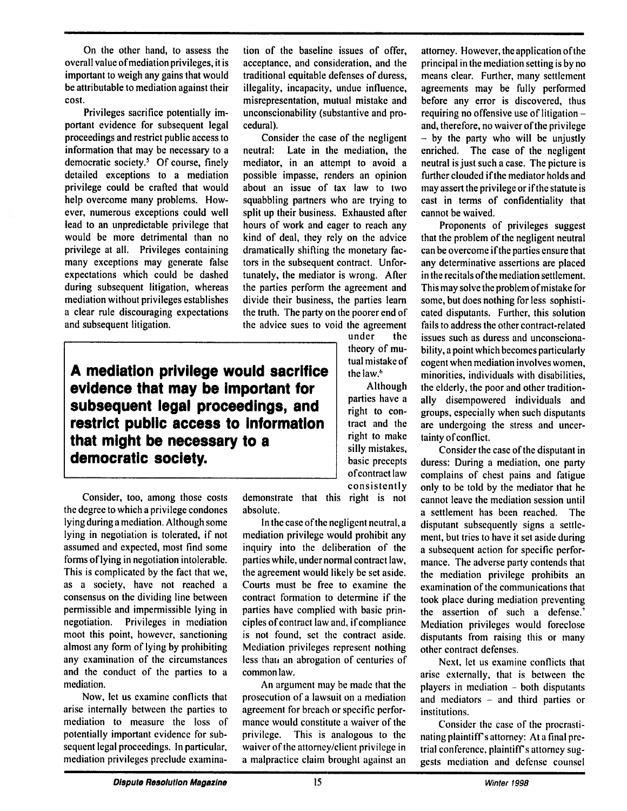On the other hand, to assess the overall value of mediation privileges, it is important to weigh any gains that would be attributable to mediation against their cost.

Privileges sacrifice potentially important evidence for subsequent legal proceedings and restrict public access to information that may be necessary to a democratic society.<sup>5</sup> Of course, finely detailed exceptions to a mediation privilege could be crafted that would help overcome many problems. However, numerous exceptions could well lead to an unpredictable privilege that would be more detrimental than no privilege at all. Privileges containing many exceptions may generate false expectations which could be dashed during subsequent litigation, whereas mediation without privileges establishes a clear rule discouraging expectations and subsequent litigation.

tion of the baseline issues of offer, acceptance, and consideration, and the traditional equitable defenses of duress, illegality, incapacity, undue influence, misrepresentation, mutual mistake and unconscionability (substantive and procedural).

Consider the case of the negligent neutral: Late in the mediation, the mediator, in an attempt to avoid a possible impasse, renders an opinion about an issue of tax law to two squabbling partners who are trying to split up their business. Exhausted after hours of work and eager to reach any kind of deal, they rely on the advice dramatically shifting the monetary factors in the subsequent contract. Unfortunately, the mediator is wrong. After the parties perform the agreement and divide their business, the parties learn the truth. The party on the poorer end of the advice sues to void the agreement

> under the theory of mutual mistake of the law.'

Although parties have a right to contract and the right to make silly mistakes, basic precepts of contract law consistently

**A mediation privilege would sacrifice evidence that may be important for subsequent legal proceedings, and restrict public access to Information that might be necessary to a democratic society.**

Consider, too, among those costs the degree to which a privilege condones lying during a mediation. Although some lying in negotiation is tolerated, if not assumed and expected, most find some forms of lying in negotiation intolerable. This is complicated by the fact that we, as a society, have not reached a consensus on the dividing line between permissible and impermissible lying in negotiation. Privileges in mediation moot this point, however, sanctioning almost any form of lying by prohibiting any examination of the circumstances and the conduct of the parties to a mediation.

Now, let us examine conflicts that arise internally between the parties to mediation to measure the loss of potentially important evidence for subsequent legal proceedings. In particular, mediation privileges preclude examina-

demonstrate that this right is not absolute.

In the case of the negligent neutral, a mediation privilege would prohibit any inquiry into the deliberation of the parties while, under normal contract law, the agreement would likely be set aside. Courts must be free to examine the contract formation to determine if the parties have complied with basic principles of contract law and, if compliance is not found, set the contract aside. Mediation privileges represent nothing less that, an abrogation of centuries of common law.

An argument may be made that the prosecution of a lawsuit on a mediation agreement for breach or specific performance would constitute a waiver of the privilege. This is analogous to the waiver of the attorney/client privilege in a malpractice claim brought against an

attorney. However, the application of the principal in the mediation setting is by no means clear. Further, many settlement agreements may be fully performed before any error is discovered, thus requiring no offensive use of litigation and, therefore, no waiver of the privilege  $-$  by the party who will be unjustly enriched. The case of the negligent neutral is just such a case. The picture is further clouded if the mediator holds and may assert the privilege or if the statute is cast in terms of confidentiality that cannot be waived.

Proponents of privileges suggest that the problem of the negligent neutral can be overcome if the parties ensure that any determinative assertions are placed in the recitals of the mediation settlement. This may solve the problem of mistake for some, but does nothing for less sophisticated disputants. Further, this solution fails to address the other contract-related issues such as duress and unconscionability, a point which becomes particularly cogent when mediation involves women, minorities, individuals with disabilities, the elderly, the poor and other traditionally disempowered individuals and groups, especially when such disputants are undergoing the stress and uncertainty of conflict.

Consider the case of the disputant in duress: During a mediation, one party complains of chest pains and fatigue only to be told by the mediator that he cannot leave the mediation session until a settlement has been reached. The disputant subsequently signs a settlement, but tries to have it set aside during a subsequent action for specific performance. The adverse party contends that the mediation privilege prohibits an examination of the communications that took place during mediation preventing the assertion of such a defense.' Mediation privileges would foreclose disputants from raising this or many other contract defenses.

Next, let us examine conflicts that arise externally, that is between the players in mediation **-** both disputants and mediators **-** and third parties or institutions.

Consider the case of the procrastinating plaintiff's attorney: At a final pretrial conference, plaintiffs attorney suggests mediation and defense counsel